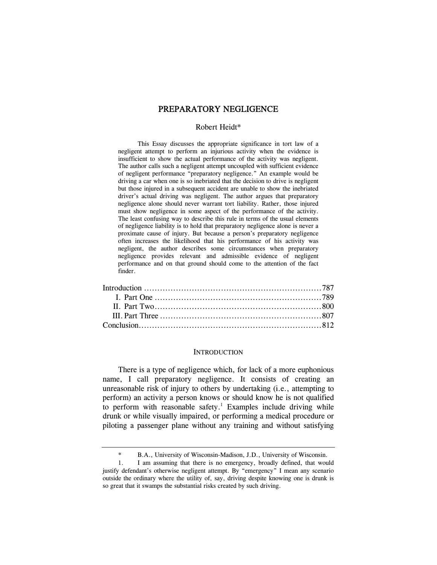# PREPARATORY NEGLIGENCE

# Robert Heidt\*

 This Essay discusses the appropriate significance in tort law of a negligent attempt to perform an injurious activity when the evidence is insufficient to show the actual performance of the activity was negligent. The author calls such a negligent attempt uncoupled with sufficient evidence of negligent performance "preparatory negligence." An example would be driving a car when one is so inebriated that the decision to drive is negligent but those injured in a subsequent accident are unable to show the inebriated driver's actual driving was negligent. The author argues that preparatory negligence alone should never warrant tort liability. Rather, those injured must show negligence in some aspect of the performance of the activity. The least confusing way to describe this rule in terms of the usual elements of negligence liability is to hold that preparatory negligence alone is never a proximate cause of injury. But because a person's preparatory negligence often increases the likelihood that his performance of his activity was negligent, the author describes some circumstances when preparatory negligence provides relevant and admissible evidence of negligent performance and on that ground should come to the attention of the fact finder.

### **INTRODUCTION**

There is a type of negligence which, for lack of a more euphonious name, I call preparatory negligence. It consists of creating an unreasonable risk of injury to others by undertaking (i.e., attempting to perform) an activity a person knows or should know he is not qualified to perform with reasonable safety.<sup>1</sup> Examples include driving while drunk or while visually impaired, or performing a medical procedure or piloting a passenger plane without any training and without satisfying

 <sup>\*</sup> B.A., University of Wisconsin-Madison, J.D., University of Wisconsin.

 <sup>1.</sup> I am assuming that there is no emergency, broadly defined, that would justify defendant's otherwise negligent attempt. By "emergency" I mean any scenario outside the ordinary where the utility of, say, driving despite knowing one is drunk is so great that it swamps the substantial risks created by such driving.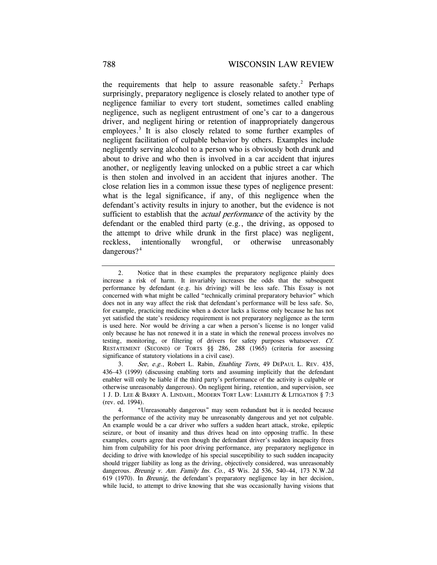the requirements that help to assure reasonable safety.<sup>2</sup> Perhaps surprisingly, preparatory negligence is closely related to another type of negligence familiar to every tort student, sometimes called enabling negligence, such as negligent entrustment of one's car to a dangerous driver, and negligent hiring or retention of inappropriately dangerous employees.<sup>3</sup> It is also closely related to some further examples of negligent facilitation of culpable behavior by others. Examples include negligently serving alcohol to a person who is obviously both drunk and about to drive and who then is involved in a car accident that injures another, or negligently leaving unlocked on a public street a car which is then stolen and involved in an accident that injures another. The close relation lies in a common issue these types of negligence present: what is the legal significance, if any, of this negligence when the defendant's activity results in injury to another, but the evidence is not sufficient to establish that the *actual performance* of the activity by the defendant or the enabled third party (e.g., the driving, as opposed to the attempt to drive while drunk in the first place) was negligent, reckless, intentionally wrongful, or otherwise unreasonably dangerous?<sup>4</sup>

3. See, e.g., Robert L. Rabin, Enabling Torts, 49 DEPAUL L. REV. 435, 436–43 (1999) (discussing enabling torts and assuming implicitly that the defendant enabler will only be liable if the third party's performance of the activity is culpable or otherwise unreasonably dangerous). On negligent hiring, retention, and supervision, see 1 J. D. LEE & BARRY A. LINDAHL, MODERN TORT LAW: LIABILITY & LITIGATION § 7:3 (rev. ed. 1994).

 4. "Unreasonably dangerous" may seem redundant but it is needed because the performance of the activity may be unreasonably dangerous and yet not culpable. An example would be a car driver who suffers a sudden heart attack, stroke, epileptic seizure, or bout of insanity and thus drives head on into opposing traffic. In these examples, courts agree that even though the defendant driver's sudden incapacity frees him from culpability for his poor driving performance, any preparatory negligence in deciding to drive with knowledge of his special susceptibility to such sudden incapacity should trigger liability as long as the driving, objectively considered, was unreasonably dangerous. Breunig v. Am. Family Ins. Co., 45 Wis. 2d 536, 540–44, 173 N.W.2d 619 (1970). In Breunig, the defendant's preparatory negligence lay in her decision, while lucid, to attempt to drive knowing that she was occasionally having visions that

 <sup>2.</sup> Notice that in these examples the preparatory negligence plainly does increase a risk of harm. It invariably increases the odds that the subsequent performance by defendant (e.g. his driving) will be less safe. This Essay is not concerned with what might be called "technically criminal preparatory behavior" which does not in any way affect the risk that defendant's performance will be less safe. So, for example, practicing medicine when a doctor lacks a license only because he has not yet satisfied the state's residency requirement is not preparatory negligence as the term is used here. Nor would be driving a car when a person's license is no longer valid only because he has not renewed it in a state in which the renewal process involves no testing, monitoring, or filtering of drivers for safety purposes whatsoever. Cf. RESTATEMENT (SECOND) OF TORTS §§ 286, 288 (1965) (criteria for assessing significance of statutory violations in a civil case).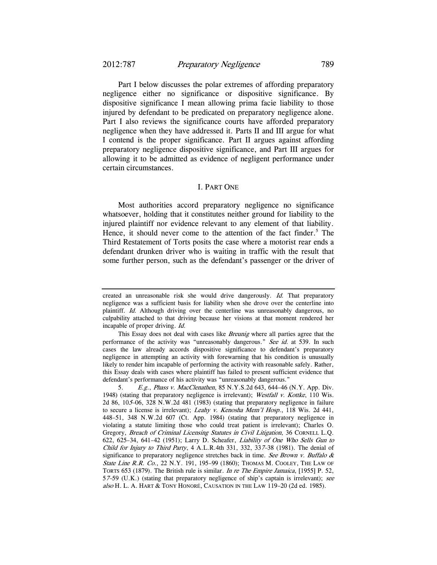Part I below discusses the polar extremes of affording preparatory negligence either no significance or dispositive significance. By dispositive significance I mean allowing prima facie liability to those injured by defendant to be predicated on preparatory negligence alone. Part I also reviews the significance courts have afforded preparatory negligence when they have addressed it. Parts II and III argue for what I contend is the proper significance. Part II argues against affording preparatory negligence dispositive significance, and Part III argues for allowing it to be admitted as evidence of negligent performance under certain circumstances.

#### I. PART ONE

Most authorities accord preparatory negligence no significance whatsoever, holding that it constitutes neither ground for liability to the injured plaintiff nor evidence relevant to any element of that liability. Hence, it should never come to the attention of the fact finder.<sup>5</sup> The Third Restatement of Torts posits the case where a motorist rear ends a defendant drunken driver who is waiting in traffic with the result that some further person, such as the defendant's passenger or the driver of

created an unreasonable risk she would drive dangerously.  $Id$ . That preparatory negligence was a sufficient basis for liability when she drove over the centerline into plaintiff. Id. Although driving over the centerline was unreasonably dangerous, no culpability attached to that driving because her visions at that moment rendered her incapable of proper driving. Id.

This Essay does not deal with cases like *Breunig* where all parties agree that the performance of the activity was "unreasonably dangerous." See id. at 539. In such cases the law already accords dispositive significance to defendant's preparatory negligence in attempting an activity with forewarning that his condition is unusually likely to render him incapable of performing the activity with reasonable safely. Rather, this Essay deals with cases where plaintiff has failed to present sufficient evidence that defendant's performance of his activity was "unreasonably dangerous."

 <sup>5.</sup> E.g., Phass v. MacClenathen, 85 N.Y.S.2d 643, 644–46 (N.Y. App. Div. 1948) (stating that preparatory negligence is irrelevant); *Westfall v. Kottke*, 110 Wis. 2d 86, 105–06, 328 N.W.2d 481 (1983) (stating that preparatory negligence in failure to secure a license is irrelevant); Leahy v. Kenosha Mem'l Hosp., 118 Wis. 2d 441, 448–51, 348 N.W.2d 607 (Ct. App. 1984) (stating that preparatory negligence in violating a statute limiting those who could treat patient is irrelevant); Charles O. Gregory, Breach of Criminal Licensing Statutes in Civil Litigation, 36 CORNELL L.Q. 622, 625–34, 641–42 (1951); Larry D. Scheafer, Liability of One Who Sells Gun to Child for Injury to Third Party, 4 A.L.R.4th 331, 332, 337–38 (1981). The denial of significance to preparatory negligence stretches back in time. See Brown v. Buffalo  $\&$ State Line R.R. Co., 22 N.Y. 191, 195-99 (1860); THOMAS M. COOLEY, THE LAW OF TORTS 653 (1879). The British rule is similar. In re The Empire Jamaica, [1955] P. 52, 57–59 (U.K.) (stating that preparatory negligence of ship's captain is irrelevant); see also H. L. A. HART & TONY HONORÉ, CAUSATION IN THE LAW 119-20 (2d ed. 1985).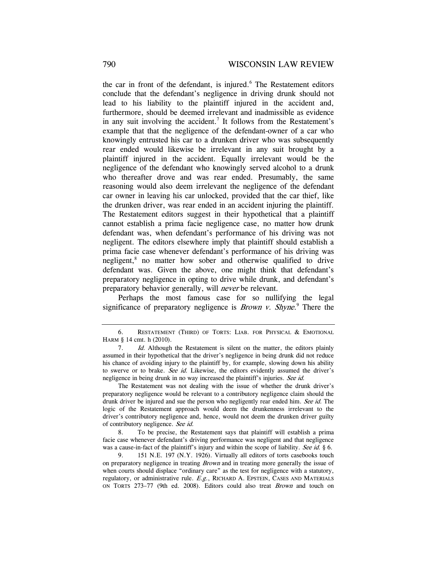the car in front of the defendant, is injured. $6$  The Restatement editors conclude that the defendant's negligence in driving drunk should not lead to his liability to the plaintiff injured in the accident and, furthermore, should be deemed irrelevant and inadmissible as evidence in any suit involving the accident.<sup>7</sup> It follows from the Restatement's example that that the negligence of the defendant-owner of a car who knowingly entrusted his car to a drunken driver who was subsequently rear ended would likewise be irrelevant in any suit brought by a plaintiff injured in the accident. Equally irrelevant would be the negligence of the defendant who knowingly served alcohol to a drunk who thereafter drove and was rear ended. Presumably, the same reasoning would also deem irrelevant the negligence of the defendant car owner in leaving his car unlocked, provided that the car thief, like the drunken driver, was rear ended in an accident injuring the plaintiff. The Restatement editors suggest in their hypothetical that a plaintiff cannot establish a prima facie negligence case, no matter how drunk defendant was, when defendant's performance of his driving was not negligent. The editors elsewhere imply that plaintiff should establish a prima facie case whenever defendant's performance of his driving was negligent,<sup>8</sup> no matter how sober and otherwise qualified to drive defendant was. Given the above, one might think that defendant's preparatory negligence in opting to drive while drunk, and defendant's preparatory behavior generally, will never be relevant.

Perhaps the most famous case for so nullifying the legal significance of preparatory negligence is *Brown v. Shyne*.<sup>9</sup> There the

 The Restatement was not dealing with the issue of whether the drunk driver's preparatory negligence would be relevant to a contributory negligence claim should the drunk driver be injured and sue the person who negligently rear ended him. See id. The logic of the Restatement approach would deem the drunkenness irrelevant to the driver's contributory negligence and, hence, would not deem the drunken driver guilty of contributory negligence. See id.

 8. To be precise, the Restatement says that plaintiff will establish a prima facie case whenever defendant's driving performance was negligent and that negligence was a cause-in-fact of the plaintiff's injury and within the scope of liability. See id.  $\S$  6.

 9. 151 N.E. 197 (N.Y. 1926). Virtually all editors of torts casebooks touch on preparatory negligence in treating *Brown* and in treating more generally the issue of when courts should displace "ordinary care" as the test for negligence with a statutory, regulatory, or administrative rule. E.g., RICHARD A. EPSTEIN, CASES AND MATERIALS ON TORTS 273–77 (9th ed. 2008). Editors could also treat Brown and touch on

 <sup>6.</sup> RESTATEMENT (THIRD) OF TORTS: LIAB. FOR PHYSICAL & EMOTIONAL HARM § 14 cmt. h (2010).

 <sup>7.</sup> Id. Although the Restatement is silent on the matter, the editors plainly assumed in their hypothetical that the driver's negligence in being drunk did not reduce his chance of avoiding injury to the plaintiff by, for example, slowing down his ability to swerve or to brake. See id. Likewise, the editors evidently assumed the driver's negligence in being drunk in no way increased the plaintiff's injuries. See id.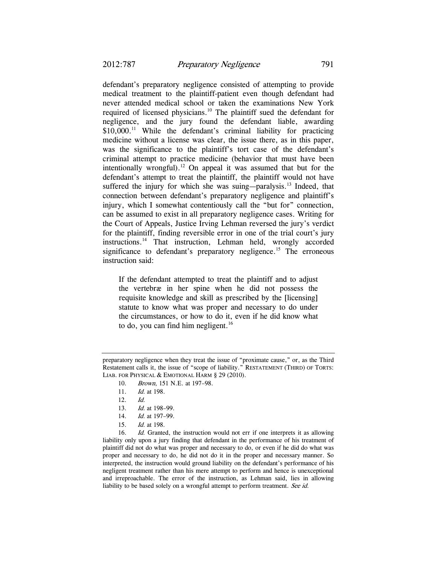defendant's preparatory negligence consisted of attempting to provide medical treatment to the plaintiff-patient even though defendant had never attended medical school or taken the examinations New York required of licensed physicians.10 The plaintiff sued the defendant for negligence, and the jury found the defendant liable, awarding  $$10,000$ <sup>11</sup> While the defendant's criminal liability for practicing medicine without a license was clear, the issue there, as in this paper, was the significance to the plaintiff's tort case of the defendant's criminal attempt to practice medicine (behavior that must have been intentionally wrongful).<sup>12</sup> On appeal it was assumed that but for the defendant's attempt to treat the plaintiff, the plaintiff would not have suffered the injury for which she was suing—paralysis. $13$  Indeed, that connection between defendant's preparatory negligence and plaintiff's injury, which I somewhat contentiously call the "but for" connection, can be assumed to exist in all preparatory negligence cases. Writing for the Court of Appeals, Justice Irving Lehman reversed the jury's verdict for the plaintiff, finding reversible error in one of the trial court's jury instructions.14 That instruction, Lehman held, wrongly accorded significance to defendant's preparatory negligence.<sup>15</sup> The erroneous instruction said:

If the defendant attempted to treat the plaintiff and to adjust the vertebræ in her spine when he did not possess the requisite knowledge and skill as prescribed by the [licensing] statute to know what was proper and necessary to do under the circumstances, or how to do it, even if he did know what to do, you can find him negligent.<sup>16</sup>

- 10. *Brown*, 151 N.E. at 197-98.
- 11. *Id.* at 198.
- 12. Id.
- 13. Id. at 198–99.
- 14. *Id.* at 197-99.
- 15. Id. at 198.

16. Id. Granted, the instruction would not err if one interprets it as allowing liability only upon a jury finding that defendant in the performance of his treatment of plaintiff did not do what was proper and necessary to do, or even if he did do what was proper and necessary to do, he did not do it in the proper and necessary manner. So interpreted, the instruction would ground liability on the defendant's performance of his negligent treatment rather than his mere attempt to perform and hence is unexceptional and irreproachable. The error of the instruction, as Lehman said, lies in allowing liability to be based solely on a wrongful attempt to perform treatment. See id.

preparatory negligence when they treat the issue of "proximate cause," or, as the Third Restatement calls it, the issue of "scope of liability." RESTATEMENT (THIRD) OF TORTS: LIAB. FOR PHYSICAL & EMOTIONAL HARM § 29 (2010).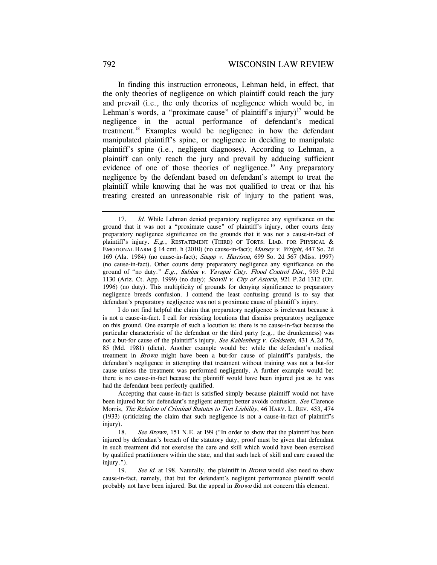In finding this instruction erroneous, Lehman held, in effect, that the only theories of negligence on which plaintiff could reach the jury and prevail (i.e., the only theories of negligence which would be, in Lehman's words, a "proximate cause" of plaintiff's injury) $17$  would be negligence in the actual performance of defendant's medical treatment.18 Examples would be negligence in how the defendant manipulated plaintiff's spine, or negligence in deciding to manipulate plaintiff's spine (i.e., negligent diagnoses). According to Lehman, a plaintiff can only reach the jury and prevail by adducing sufficient evidence of one of those theories of negligence.<sup>19</sup> Any preparatory negligence by the defendant based on defendant's attempt to treat the plaintiff while knowing that he was not qualified to treat or that his treating created an unreasonable risk of injury to the patient was,

 I do not find helpful the claim that preparatory negligence is irrelevant because it is not a cause-in-fact. I call for resisting locutions that dismiss preparatory negligence on this ground. One example of such a locution is: there is no cause-in-fact because the particular characteristic of the defendant or the third party (e.g., the drunkenness) was not a but-for cause of the plaintiff's injury. See Kahlenberg v. Goldstein, 431 A.2d 76, 85 (Md. 1981) (dicta). Another example would be: while the defendant's medical treatment in Brown might have been a but-for cause of plaintiff's paralysis, the defendant's negligence in attempting that treatment without training was not a but-for cause unless the treatment was performed negligently. A further example would be: there is no cause-in-fact because the plaintiff would have been injured just as he was had the defendant been perfectly qualified.

 Accepting that cause-in-fact is satisfied simply because plaintiff would not have been injured but for defendant's negligent attempt better avoids confusion. See Clarence Morris, The Relation of Criminal Statutes to Tort Liability, 46 HARV. L. REV. 453, 474 (1933) (criticizing the claim that such negligence is not a cause-in-fact of plaintiff's injury).

18. See Brown, 151 N.E. at 199 ("In order to show that the plaintiff has been injured by defendant's breach of the statutory duty, proof must be given that defendant in such treatment did not exercise the care and skill which would have been exercised by qualified practitioners within the state, and that such lack of skill and care caused the injury.").

19. See id. at 198. Naturally, the plaintiff in Brown would also need to show cause-in-fact, namely, that but for defendant's negligent performance plaintiff would probably not have been injured. But the appeal in Brown did not concern this element.

<sup>17.</sup> *Id.* While Lehman denied preparatory negligence any significance on the ground that it was not a "proximate cause" of plaintiff's injury, other courts deny preparatory negligence significance on the grounds that it was not a cause-in-fact of plaintiff's injury. E.g., RESTATEMENT (THIRD) OF TORTS: LIAB. FOR PHYSICAL & EMOTIONAL HARM § 14 cmt. h (2010) (no cause-in-fact); Massey v. Wright, 447 So. 2d 169 (Ala. 1984) (no cause-in-fact); Snapp v. Harrison, 699 So. 2d 567 (Miss. 1997) (no cause-in-fact). Other courts deny preparatory negligence any significance on the ground of "no duty." E.g., Sabina v. Yavapai Cnty. Flood Control Dist., 993 P.2d 1130 (Ariz. Ct. App. 1999) (no duty); Scovill v. City of Astoria, 921 P.2d 1312 (Or. 1996) (no duty). This multiplicity of grounds for denying significance to preparatory negligence breeds confusion. I contend the least confusing ground is to say that defendant's preparatory negligence was not a proximate cause of plaintiff's injury.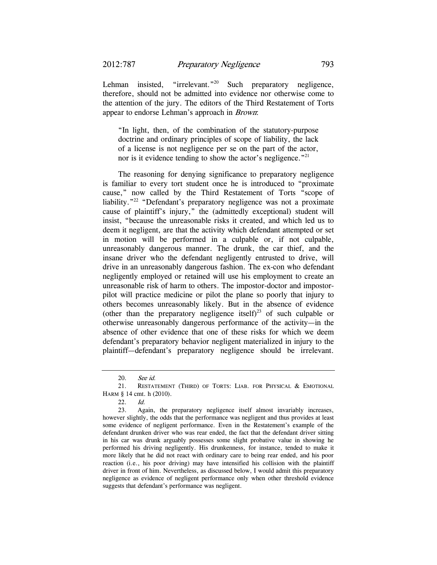Lehman insisted, "irrelevant."<sup>20</sup> Such preparatory negligence, therefore, should not be admitted into evidence nor otherwise come to the attention of the jury. The editors of the Third Restatement of Torts appear to endorse Lehman's approach in Brown:

"In light, then, of the combination of the statutory-purpose doctrine and ordinary principles of scope of liability, the lack of a license is not negligence per se on the part of the actor, nor is it evidence tending to show the actor's negligence."<sup>21</sup>

The reasoning for denying significance to preparatory negligence is familiar to every tort student once he is introduced to "proximate cause," now called by the Third Restatement of Torts "scope of liability."<sup>22</sup> "Defendant's preparatory negligence was not a proximate cause of plaintiff's injury," the (admittedly exceptional) student will insist, "because the unreasonable risks it created, and which led us to deem it negligent, are that the activity which defendant attempted or set in motion will be performed in a culpable or, if not culpable, unreasonably dangerous manner. The drunk, the car thief, and the insane driver who the defendant negligently entrusted to drive, will drive in an unreasonably dangerous fashion. The ex-con who defendant negligently employed or retained will use his employment to create an unreasonable risk of harm to others. The impostor-doctor and impostorpilot will practice medicine or pilot the plane so poorly that injury to others becomes unreasonably likely. But in the absence of evidence (other than the preparatory negligence itself)<sup>23</sup> of such culpable or otherwise unreasonably dangerous performance of the activity—in the absence of other evidence that one of these risks for which we deem defendant's preparatory behavior negligent materialized in injury to the plaintiff—defendant's preparatory negligence should be irrelevant.

 <sup>20.</sup> See id.

 <sup>21.</sup> RESTATEMENT (THIRD) OF TORTS: LIAB. FOR PHYSICAL & EMOTIONAL HARM § 14 cmt. h (2010).

 <sup>22.</sup> Id.

 <sup>23.</sup> Again, the preparatory negligence itself almost invariably increases, however slightly, the odds that the performance was negligent and thus provides at least some evidence of negligent performance. Even in the Restatement's example of the defendant drunken driver who was rear ended, the fact that the defendant driver sitting in his car was drunk arguably possesses some slight probative value in showing he performed his driving negligently. His drunkenness, for instance, tended to make it more likely that he did not react with ordinary care to being rear ended, and his poor reaction (i.e., his poor driving) may have intensified his collision with the plaintiff driver in front of him. Nevertheless, as discussed below, I would admit this preparatory negligence as evidence of negligent performance only when other threshold evidence suggests that defendant's performance was negligent.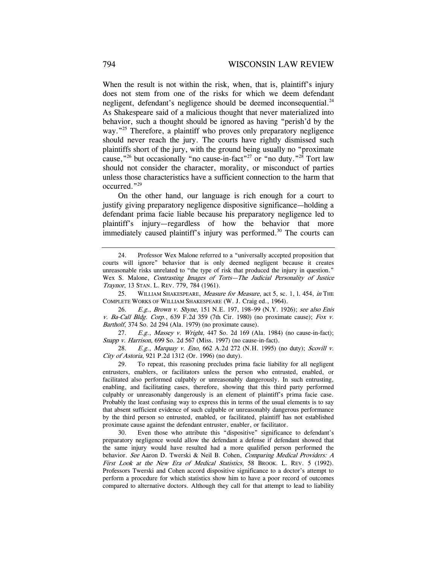When the result is not within the risk, when, that is, plaintiff's injury does not stem from one of the risks for which we deem defendant negligent, defendant's negligence should be deemed inconsequential. $^{24}$ As Shakespeare said of a malicious thought that never materialized into behavior, such a thought should be ignored as having "perish'd by the way."<sup>25</sup> Therefore, a plaintiff who proves only preparatory negligence should never reach the jury. The courts have rightly dismissed such plaintiffs short of the jury, with the ground being usually no "proximate cause,"<sup>26</sup> but occasionally "no cause-in-fact"<sup>27</sup> or "no duty."<sup>28</sup> Tort law should not consider the character, morality, or misconduct of parties unless those characteristics have a sufficient connection to the harm that occurred."29

On the other hand, our language is rich enough for a court to justify giving preparatory negligence dispositive significance—holding a defendant prima facie liable because his preparatory negligence led to plaintiff's injury—regardless of how the behavior that more immediately caused plaintiff's injury was performed.<sup>30</sup> The courts can

25. WILLIAM SHAKESPEARE, Measure for Measure, act 5, sc. 1, 1. 454, in THE COMPLETE WORKS OF WILLIAM SHAKESPEARE (W. J. Craig ed., 1964).

 26. E.g., Brown v. Shyne, 151 N.E. 197, 198–99 (N.Y. 1926); see also Enis v. Ba-Call Bldg. Corp., 639 F.2d 359 (7th Cir. 1980) (no proximate cause); Fox v. Bartholf, 374 So. 2d 294 (Ala. 1979) (no proximate cause).

 27. E.g., Massey v. Wright, 447 So. 2d 169 (Ala. 1984) (no cause-in-fact); Snapp v. Harrison, 699 So. 2d 567 (Miss. 1997) (no cause-in-fact).

 28. E.g., Marquay v. Eno, 662 A.2d 272 (N.H. 1995) (no duty); Scovill v. City of Astoria, 921 P.2d 1312 (Or. 1996) (no duty).

 29. To repeat, this reasoning precludes prima facie liability for all negligent entrusters, enablers, or facilitators unless the person who entrusted, enabled, or facilitated also performed culpably or unreasonably dangerously. In such entrusting, enabling, and facilitating cases, therefore, showing that this third party performed culpably or unreasonably dangerously is an element of plaintiff's prima facie case. Probably the least confusing way to express this in terms of the usual elements is to say that absent sufficient evidence of such culpable or unreasonably dangerous performance by the third person so entrusted, enabled, or facilitated, plaintiff has not established proximate cause against the defendant entruster, enabler, or facilitator.

 30. Even those who attribute this "dispositive" significance to defendant's preparatory negligence would allow the defendant a defense if defendant showed that the same injury would have resulted had a more qualified person performed the behavior. See Aaron D. Twerski & Neil B. Cohen, Comparing Medical Providers: A First Look at the New Era of Medical Statistics, 58 BROOK. L. REV. 5 (1992). Professors Twerski and Cohen accord dispositive significance to a doctor's attempt to perform a procedure for which statistics show him to have a poor record of outcomes compared to alternative doctors. Although they call for that attempt to lead to liability

 <sup>24.</sup> Professor Wex Malone referred to a "universally accepted proposition that courts will ignore" behavior that is only deemed negligent because it creates unreasonable risks unrelated to "the type of risk that produced the injury in question." Wex S. Malone, Contrasting Images of Torts—The Judicial Personality of Justice Traynor, 13 STAN. L. REV. 779, 784 (1961).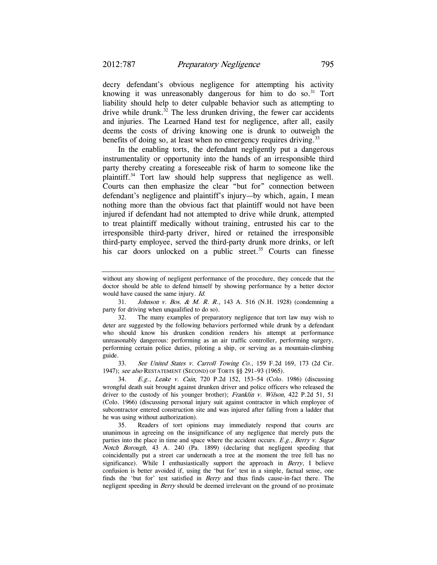decry defendant's obvious negligence for attempting his activity knowing it was unreasonably dangerous for him to do so.<sup>31</sup> Tort liability should help to deter culpable behavior such as attempting to drive while drunk. $32$  The less drunken driving, the fewer car accidents and injuries. The Learned Hand test for negligence, after all, easily deems the costs of driving knowing one is drunk to outweigh the benefits of doing so, at least when no emergency requires driving.<sup>33</sup>

In the enabling torts, the defendant negligently put a dangerous instrumentality or opportunity into the hands of an irresponsible third party thereby creating a foreseeable risk of harm to someone like the plaintiff.34 Tort law should help suppress that negligence as well. Courts can then emphasize the clear "but for" connection between defendant's negligence and plaintiff's injury—by which, again, I mean nothing more than the obvious fact that plaintiff would not have been injured if defendant had not attempted to drive while drunk, attempted to treat plaintiff medically without training, entrusted his car to the irresponsible third-party driver, hired or retained the irresponsible third-party employee, served the third-party drunk more drinks, or left his car doors unlocked on a public street.<sup>35</sup> Courts can finesse

31. Johnson v. Bos. & M. R. R., 143 A. 516 (N.H. 1928) (condemning a party for driving when unqualified to do so).

 32. The many examples of preparatory negligence that tort law may wish to deter are suggested by the following behaviors performed while drunk by a defendant who should know his drunken condition renders his attempt at performance unreasonably dangerous: performing as an air traffic controller, performing surgery, performing certain police duties, piloting a ship, or serving as a mountain-climbing guide.

33. See United States v. Carroll Towing Co., 159 F.2d 169, 173 (2d Cir. 1947); see also RESTATEMENT (SECOND) OF TORTS §§ 291-93 (1965).

 34. E.g., Leake v. Cain, 720 P.2d 152, 153–54 (Colo. 1986) (discussing wrongful death suit brought against drunken driver and police officers who released the driver to the custody of his younger brother); Franklin v. Wilson, 422 P.2d 51, 51 (Colo. 1966) (discussing personal injury suit against contractor in which employee of subcontractor entered construction site and was injured after falling from a ladder that he was using without authorization).

 35. Readers of tort opinions may immediately respond that courts are unanimous in agreeing on the insignificance of any negligence that merely puts the parties into the place in time and space where the accident occurs.  $E.g.,$  Berry v. Sugar Notch Borough, 43 A. 240 (Pa. 1899) (declaring that negligent speeding that coincidentally put a street car underneath a tree at the moment the tree fell has no significance). While I enthusiastically support the approach in Berry, I believe confusion is better avoided if, using the 'but for' test in a simple, factual sense, one finds the 'but for' test satisfied in Berry and thus finds cause-in-fact there. The negligent speeding in Berry should be deemed irrelevant on the ground of no proximate

without any showing of negligent performance of the procedure, they concede that the doctor should be able to defend himself by showing performance by a better doctor would have caused the same injury. Id.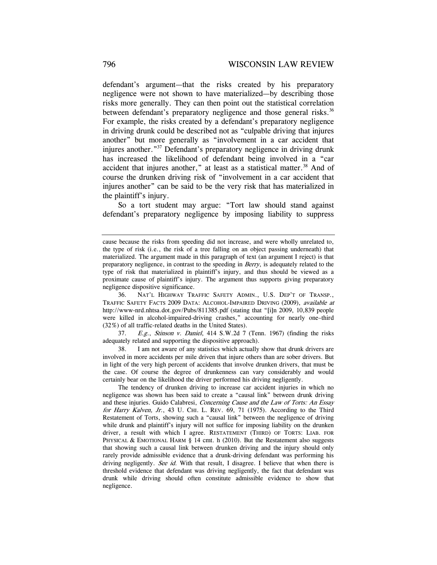defendant's argument—that the risks created by his preparatory negligence were not shown to have materialized—by describing those risks more generally. They can then point out the statistical correlation between defendant's preparatory negligence and those general risks.<sup>36</sup> For example, the risks created by a defendant's preparatory negligence in driving drunk could be described not as "culpable driving that injures another" but more generally as "involvement in a car accident that injures another."37 Defendant's preparatory negligence in driving drunk has increased the likelihood of defendant being involved in a "car accident that injures another," at least as a statistical matter.<sup>38</sup> And of course the drunken driving risk of "involvement in a car accident that injures another" can be said to be the very risk that has materialized in the plaintiff's injury.

So a tort student may argue: "Tort law should stand against defendant's preparatory negligence by imposing liability to suppress

 36. NAT'L HIGHWAY TRAFFIC SAFETY ADMIN., U.S. DEP'T OF TRANSP., TRAFFIC SAFETY FACTS 2009 DATA: ALCOHOL-IMPAIRED DRIVING (2009), available at http://www-nrd.nhtsa.dot.gov/Pubs/811385.pdf (stating that "[i]n 2009, 10,839 people were killed in alcohol-impaired-driving crashes," accounting for nearly one–third (32%) of all traffic-related deaths in the United States).

 37. E.g., Stinson v. Daniel, 414 S.W.2d 7 (Tenn. 1967) (finding the risks adequately related and supporting the dispositive approach).

 38. I am not aware of any statistics which actually show that drunk drivers are involved in more accidents per mile driven that injure others than are sober drivers. But in light of the very high percent of accidents that involve drunken drivers, that must be the case. Of course the degree of drunkenness can vary considerably and would certainly bear on the likelihood the driver performed his driving negligently.

 The tendency of drunken driving to increase car accident injuries in which no negligence was shown has been said to create a "causal link" between drunk driving and these injuries. Guido Calabresi, *Concerning Cause and the Law of Torts: An Essay* for Harry Kalven, Jr., 43 U. CHI. L. REV.  $69$ , 71 (1975). According to the Third Restatement of Torts, showing such a "causal link" between the negligence of driving while drunk and plaintiff's injury will not suffice for imposing liability on the drunken driver, a result with which I agree. RESTATEMENT (THIRD) OF TORTS: LIAB. FOR PHYSICAL & EMOTIONAL HARM § 14 cmt. h (2010). But the Restatement also suggests that showing such a causal link between drunken driving and the injury should only rarely provide admissible evidence that a drunk-driving defendant was performing his driving negligently. See id. With that result, I disagree. I believe that when there is threshold evidence that defendant was driving negligently, the fact that defendant was drunk while driving should often constitute admissible evidence to show that negligence.

cause because the risks from speeding did not increase, and were wholly unrelated to, the type of risk (i.e., the risk of a tree falling on an object passing underneath) that materialized. The argument made in this paragraph of text (an argument I reject) is that preparatory negligence, in contrast to the speeding in Berry, is adequately related to the type of risk that materialized in plaintiff's injury, and thus should be viewed as a proximate cause of plaintiff's injury. The argument thus supports giving preparatory negligence dispositive significance.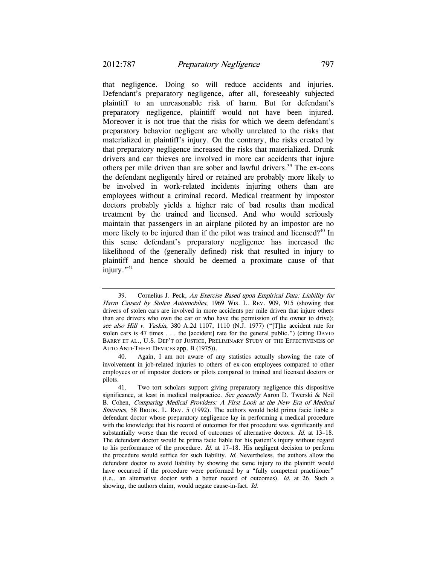that negligence. Doing so will reduce accidents and injuries. Defendant's preparatory negligence, after all, foreseeably subjected plaintiff to an unreasonable risk of harm. But for defendant's preparatory negligence, plaintiff would not have been injured. Moreover it is not true that the risks for which we deem defendant's preparatory behavior negligent are wholly unrelated to the risks that materialized in plaintiff's injury. On the contrary, the risks created by that preparatory negligence increased the risks that materialized. Drunk drivers and car thieves are involved in more car accidents that injure others per mile driven than are sober and lawful drivers.<sup>39</sup> The ex-cons the defendant negligently hired or retained are probably more likely to be involved in work-related incidents injuring others than are employees without a criminal record. Medical treatment by impostor doctors probably yields a higher rate of bad results than medical treatment by the trained and licensed. And who would seriously maintain that passengers in an airplane piloted by an impostor are no more likely to be injured than if the pilot was trained and licensed?<sup>40</sup> In this sense defendant's preparatory negligence has increased the likelihood of the (generally defined) risk that resulted in injury to plaintiff and hence should be deemed a proximate cause of that injury. $"^{41}$ 

 <sup>39.</sup> Cornelius J. Peck, An Exercise Based upon Empirical Data: Liability for Harm Caused by Stolen Automobiles, 1969 WIS. L. REV. 909, 915 (showing that drivers of stolen cars are involved in more accidents per mile driven that injure others than are drivers who own the car or who have the permission of the owner to drive); see also Hill v. Yaskin, 380 A.2d 1107, 1110 (N.J. 1977) ("[T]he accident rate for stolen cars is 47 times . . . the [accident] rate for the general public.") (citing DAVID BARRY ET AL., U.S. DEP'T OF JUSTICE, PRELIMINARY STUDY OF THE EFFECTIVENESS OF AUTO ANTI-THEFT DEVICES app. B (1975)).

 <sup>40.</sup> Again, I am not aware of any statistics actually showing the rate of involvement in job-related injuries to others of ex-con employees compared to other employees or of impostor doctors or pilots compared to trained and licensed doctors or pilots.

 <sup>41.</sup> Two tort scholars support giving preparatory negligence this dispositive significance, at least in medical malpractice. See generally Aaron D. Twerski & Neil B. Cohen, Comparing Medical Providers: A First Look at the New Era of Medical Statistics, 58 BROOK. L. REV. 5 (1992). The authors would hold prima facie liable a defendant doctor whose preparatory negligence lay in performing a medical procedure with the knowledge that his record of outcomes for that procedure was significantly and substantially worse than the record of outcomes of alternative doctors. Id. at 13–18. The defendant doctor would be prima facie liable for his patient's injury without regard to his performance of the procedure. Id. at 17–18. His negligent decision to perform the procedure would suffice for such liability. Id. Nevertheless, the authors allow the defendant doctor to avoid liability by showing the same injury to the plaintiff would have occurred if the procedure were performed by a "fully competent practitioner"  $(i.e., an alternative doctor with a better record of outcomes).$  Id. at 26. Such a showing, the authors claim, would negate cause-in-fact. Id.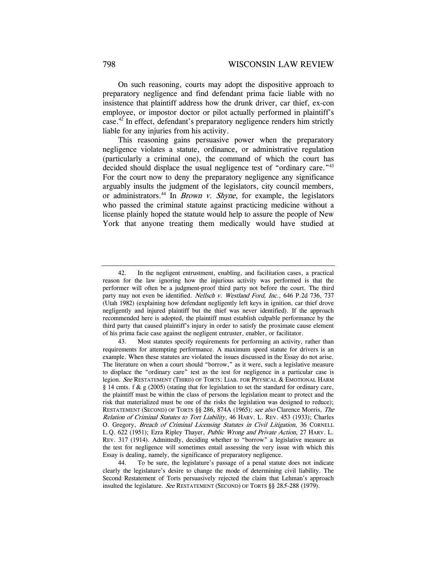On such reasoning, courts may adopt the dispositive approach to preparatory negligence and find defendant prima facie liable with no insistence that plaintiff address how the drunk driver, car thief, ex-con employee, or impostor doctor or pilot actually performed in plaintiff's case.42 In effect, defendant's preparatory negligence renders him strictly liable for any injuries from his activity.

This reasoning gains persuasive power when the preparatory negligence violates a statute, ordinance, or administrative regulation (particularly a criminal one), the command of which the court has decided should displace the usual negligence test of "ordinary care."<sup>43</sup> For the court now to deny the preparatory negligence any significance arguably insults the judgment of the legislators, city council members, or administrators.<sup>44</sup> In *Brown v. Shyne*, for example, the legislators who passed the criminal statute against practicing medicine without a license plainly hoped the statute would help to assure the people of New York that anyone treating them medically would have studied at

 <sup>42.</sup> In the negligent entrustment, enabling, and facilitation cases, a practical reason for the law ignoring how the injurious activity was performed is that the performer will often be a judgment-proof third party not before the court. The third party may not even be identified. Nellsch v. Westland Ford, Inc., 646 P.2d 736, 737 (Utah 1982) (explaining how defendant negligently left keys in ignition, car thief drove negligently and injured plaintiff but the thief was never identified). If the approach recommended here is adopted, the plaintiff must establish culpable performance by the third party that caused plaintiff's injury in order to satisfy the proximate cause element of his prima facie case against the negligent entruster, enabler, or facilitator.

 <sup>43.</sup> Most statutes specify requirements for performing an activity, rather than requirements for attempting performance. A maximum speed statute for drivers is an example. When these statutes are violated the issues discussed in the Essay do not arise. The literature on when a court should "borrow," as it were, such a legislative measure to displace the "ordinary care" test as the test for negligence in a particular case is legion. See RESTATEMENT (THIRD) OF TORTS: LIAB. FOR PHYSICAL & EMOTIONAL HARM § 14 cmts. f & g (2005) (stating that for legislation to set the standard for ordinary care, the plaintiff must be within the class of persons the legislation meant to protect and the risk that materialized must be one of the risks the legislation was designed to reduce); RESTATEMENT (SECOND) OF TORTS §§ 286, 874A (1965); see also Clarence Morris, The Relation of Criminal Statutes to Tort Liability, 46 HARV. L. REV. 453 (1933); Charles O. Gregory, Breach of Criminal Licensing Statutes in Civil Litigation, 36 CORNELL L.Q. 622 (1951); Ezra Ripley Thayer, Public Wrong and Private Action, 27 HARV. L. REV. 317 (1914). Admittedly, deciding whether to "borrow" a legislative measure as the test for negligence will sometimes entail assessing the very issue with which this Essay is dealing, namely, the significance of preparatory negligence.

 <sup>44.</sup> To be sure, the legislature's passage of a penal statute does not indicate clearly the legislature's desire to change the mode of determining civil liability. The Second Restatement of Torts persuasively rejected the claim that Lehman's approach insulted the legislature. See RESTATEMENT (SECOND) OF TORTS §§ 285–288 (1979).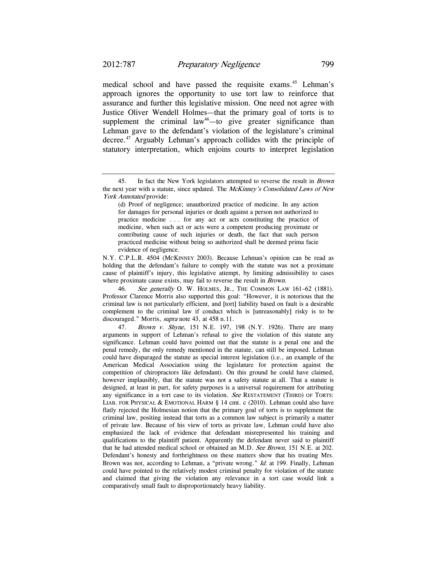medical school and have passed the requisite exams.<sup>45</sup> Lehman's approach ignores the opportunity to use tort law to reinforce that assurance and further this legislative mission. One need not agree with Justice Oliver Wendell Holmes—that the primary goal of torts is to supplement the criminal law<sup>46</sup>—to give greater significance than Lehman gave to the defendant's violation of the legislature's criminal decree.<sup>47</sup> Arguably Lehman's approach collides with the principle of statutory interpretation, which enjoins courts to interpret legislation

N.Y. C.P.L.R. 4504 (MCKINNEY 2003). Because Lehman's opinion can be read as holding that the defendant's failure to comply with the statute was not a proximate cause of plaintiff's injury, this legislative attempt, by limiting admissibility to cases where proximate cause exists, may fail to reverse the result in *Brown*.

 46. See generally O. W. HOLMES, JR., THE COMMON LAW 161–62 (1881). Professor Clarence Morris also supported this goal: "However, it is notorious that the criminal law is not particularly efficient, and [tort] liability based on fault is a desirable complement to the criminal law if conduct which is [unreasonably] risky is to be discouraged." Morris, supra note 43, at 458 n.11.

47. Brown v. Shyne, 151 N.E. 197, 198 (N.Y. 1926). There are many arguments in support of Lehman's refusal to give the violation of this statute any significance. Lehman could have pointed out that the statute is a penal one and the penal remedy, the only remedy mentioned in the statute, can still be imposed. Lehman could have disparaged the statute as special interest legislation (i.e., an example of the American Medical Association using the legislature for protection against the competition of chiropractors like defendant). On this ground he could have claimed, however implausibly, that the statute was not a safety statute at all. That a statute is designed, at least in part, for safety purposes is a universal requirement for attributing any significance in a tort case to its violation. See RESTATEMENT (THIRD) OF TORTS: LIAB. FOR PHYSICAL & EMOTIONAL HARM  $\S$  14 cmt. c (2010). Lehman could also have flatly rejected the Holmesian notion that the primary goal of torts is to supplement the criminal law, positing instead that torts as a common law subject is primarily a matter of private law. Because of his view of torts as private law, Lehman could have also emphasized the lack of evidence that defendant misrepresented his training and qualifications to the plaintiff patient. Apparently the defendant never said to plaintiff that he had attended medical school or obtained an M.D. See Brown, 151 N.E. at 202. Defendant's honesty and forthrightness on these matters show that his treating Mrs. Brown was not, according to Lehman, a "private wrong." Id. at 199. Finally, Lehman could have pointed to the relatively modest criminal penalty for violation of the statute and claimed that giving the violation any relevance in a tort case would link a comparatively small fault to disproportionately heavy liability.

 <sup>45.</sup> In fact the New York legislators attempted to reverse the result in Brown the next year with a statute, since updated. The McKinney's Consolidated Laws of New York Annotated provide:

<sup>(</sup>d) Proof of negligence; unauthorized practice of medicine. In any action for damages for personal injuries or death against a person not authorized to practice medicine . . . for any act or acts constituting the practice of medicine, when such act or acts were a competent producing proximate or contributing cause of such injuries or death, the fact that such person practiced medicine without being so authorized shall be deemed prima facie evidence of negligence.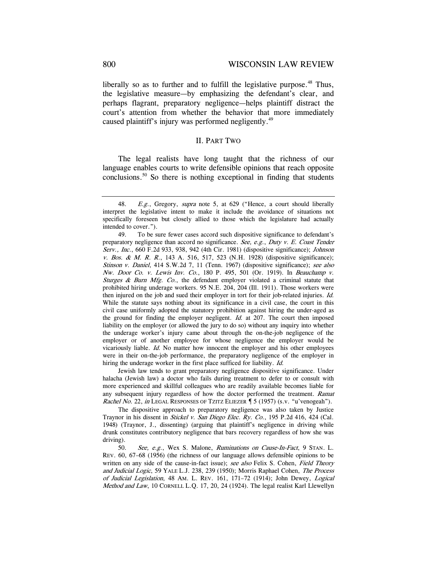liberally so as to further and to fulfill the legislative purpose. $48$  Thus, the legislative measure—by emphasizing the defendant's clear, and perhaps flagrant, preparatory negligence—helps plaintiff distract the court's attention from whether the behavior that more immediately caused plaintiff's injury was performed negligently.<sup>49</sup>

## II. PART TWO

The legal realists have long taught that the richness of our language enables courts to write defensible opinions that reach opposite conclusions.50 So there is nothing exceptional in finding that students

 Jewish law tends to grant preparatory negligence dispositive significance. Under halacha (Jewish law) a doctor who fails during treatment to defer to or consult with more experienced and skillful colleagues who are readily available becomes liable for any subsequent injury regardless of how the doctor performed the treatment. Ramat Rachel No. 22, in LEGAL RESPONSES OF TZITZ ELIEZER ¶ 5 (1957) (s.v. "u'venogeah").

 The dispositive approach to preparatory negligence was also taken by Justice Traynor in his dissent in *Stickel v. San Diego Elec. Ry. Co.*, 195 P.2d 416, 424 (Cal. 1948) (Traynor, J., dissenting) (arguing that plaintiff's negligence in driving while drunk constitutes contributory negligence that bars recovery regardless of how she was driving).

50. See, e.g., Wex S. Malone, Ruminations on Cause-In-Fact, 9 STAN. L. REV. 60, 67–68 (1956) (the richness of our language allows defensible opinions to be written on any side of the cause-in-fact issue); see also Felix S. Cohen, Field Theory and Judicial Logic, 59 YALE L.J. 238, 239 (1950); Morris Raphael Cohen, The Process of Judicial Legislation, 48 AM. L. REV. 161, 171–72 (1914); John Dewey, Logical Method and Law, 10 CORNELL L.Q. 17, 20, 24 (1924). The legal realist Karl Llewellyn

 <sup>48.</sup> E.g., Gregory, supra note 5, at 629 ("Hence, a court should liberally interpret the legislative intent to make it include the avoidance of situations not specifically foreseen but closely allied to those which the legislature had actually intended to cover.").

 <sup>49.</sup> To be sure fewer cases accord such dispositive significance to defendant's preparatory negligence than accord no significance. See, e.g., Duty v. E. Coast Tender Serv., Inc., 660 F.2d 933, 938, 942 (4th Cir. 1981) (dispositive significance); Johnson v. Bos. & M. R. R., 143 A. 516, 517, 523 (N.H. 1928) (dispositive significance); Stinson v. Daniel, 414 S.W.2d 7, 11 (Tenn. 1967) (dispositive significance); see also Nw. Door Co. v. Lewis Inv. Co., 180 P. 495, 501 (Or. 1919). In Beauchamp v. Sturges & Burn Mfg. Co., the defendant employer violated a criminal statute that prohibited hiring underage workers. 95 N.E. 204, 204 (Ill. 1911). Those workers were then injured on the job and sued their employer in tort for their job-related injuries. Id. While the statute says nothing about its significance in a civil case, the court in this civil case uniformly adopted the statutory prohibition against hiring the under-aged as the ground for finding the employer negligent. Id. at 207. The court then imposed liability on the employer (or allowed the jury to do so) without any inquiry into whether the underage worker's injury came about through the on-the-job negligence of the employer or of another employee for whose negligence the employer would be vicariously liable. Id. No matter how innocent the employer and his other employees were in their on-the-job performance, the preparatory negligence of the employer in hiring the underage worker in the first place sufficed for liability. *Id.*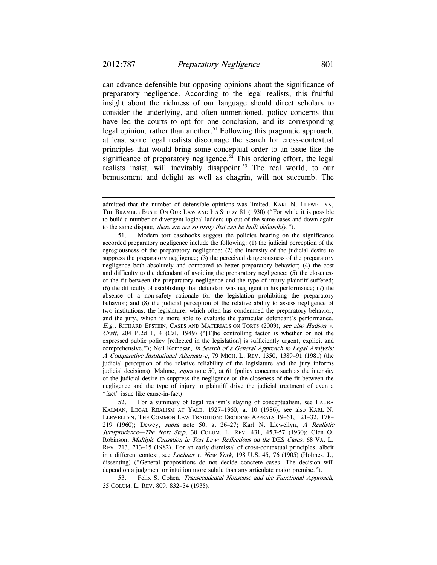can advance defensible but opposing opinions about the significance of preparatory negligence. According to the legal realists, this fruitful insight about the richness of our language should direct scholars to consider the underlying, and often unmentioned, policy concerns that have led the courts to opt for one conclusion, and its corresponding legal opinion, rather than another.<sup>51</sup> Following this pragmatic approach, at least some legal realists discourage the search for cross-contextual principles that would bring some conceptual order to an issue like the significance of preparatory negligence.<sup>52</sup> This ordering effort, the legal realists insist, will inevitably disappoint.<sup>53</sup> The real world, to our bemusement and delight as well as chagrin, will not succumb. The

 51. Modern tort casebooks suggest the policies bearing on the significance accorded preparatory negligence include the following: (1) the judicial perception of the egregiousness of the preparatory negligence; (2) the intensity of the judicial desire to suppress the preparatory negligence; (3) the perceived dangerousness of the preparatory negligence both absolutely and compared to better preparatory behavior; (4) the cost and difficulty to the defendant of avoiding the preparatory negligence; (5) the closeness of the fit between the preparatory negligence and the type of injury plaintiff suffered; (6) the difficulty of establishing that defendant was negligent in his performance; (7) the absence of a non-safety rationale for the legislation prohibiting the preparatory behavior; and (8) the judicial perception of the relative ability to assess negligence of two institutions, the legislature, which often has condemned the preparatory behavior, and the jury, which is more able to evaluate the particular defendant's performance. E.g., RICHARD EPSTEIN, CASES AND MATERIALS ON TORTS (2009); see also Hudson v. *Craft*, 204 P.2d 1, 4 (Cal. 1949) ("[T]he controlling factor is whether or not the expressed public policy [reflected in the legislation] is sufficiently urgent, explicit and comprehensive."); Neil Komesar, *In Search of a General Approach to Legal Analysis:* A Comparative Institutional Alternative, 79 MICH. L. REV. 1350, 1389–91 (1981) (the judicial perception of the relative reliability of the legislature and the jury informs judicial decisions); Malone, *supra* note 50, at 61 (policy concerns such as the intensity of the judicial desire to suppress the negligence or the closeness of the fit between the negligence and the type of injury to plaintiff drive the judicial treatment of even a "fact" issue like cause-in-fact).

 52. For a summary of legal realism's slaying of conceptualism, see LAURA KALMAN, LEGAL REALISM AT YALE: 1927–1960, at 10 (1986); see also KARL N. LLEWELLYN, THE COMMON LAW TRADITION: DECIDING APPEALS 19–61, 121–32, 178– 219 (1960); Dewey, supra note 50, at 26–27; Karl N. Llewellyn, A Realistic Jurisprudence-The Next Step, 30 COLUM. L. REV. 431, 453-57 (1930); Glen O. Robinson, Multiple Causation in Tort Law: Reflections on the DES Cases, 68 VA. L. REV. 713, 713–15 (1982). For an early dismissal of cross-contextual principles, albeit in a different context, see Lochner v. New York, 198 U.S. 45, 76 (1905) (Holmes, J., dissenting) ("General propositions do not decide concrete cases. The decision will depend on a judgment or intuition more subtle than any articulate major premise.").

 53. Felix S. Cohen, Transcendental Nonsense and the Functional Approach, 35 COLUM. L. REV. 809, 832–34 (1935).

admitted that the number of defensible opinions was limited. KARL N. LLEWELLYN, THE BRAMBLE BUSH: ON OUR LAW AND ITS STUDY 81 (1930) ("For while it is possible to build a number of divergent logical ladders up out of the same cases and down again to the same dispute, there are not so many that can be built defensibly.").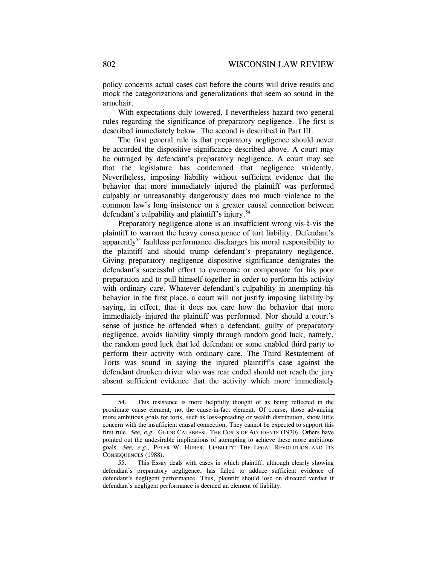policy concerns actual cases cast before the courts will drive results and mock the categorizations and generalizations that seem so sound in the armchair.

With expectations duly lowered, I nevertheless hazard two general rules regarding the significance of preparatory negligence. The first is described immediately below. The second is described in Part III.

The first general rule is that preparatory negligence should never be accorded the dispositive significance described above. A court may be outraged by defendant's preparatory negligence. A court may see that the legislature has condemned that negligence stridently. Nevertheless, imposing liability without sufficient evidence that the behavior that more immediately injured the plaintiff was performed culpably or unreasonably dangerously does too much violence to the common law's long insistence on a greater causal connection between defendant's culpability and plaintiff's injury.54

Preparatory negligence alone is an insufficient wrong vis-à-vis the plaintiff to warrant the heavy consequence of tort liability. Defendant's apparently<sup>55</sup> faultless performance discharges his moral responsibility to the plaintiff and should trump defendant's preparatory negligence. Giving preparatory negligence dispositive significance denigrates the defendant's successful effort to overcome or compensate for his poor preparation and to pull himself together in order to perform his activity with ordinary care. Whatever defendant's culpability in attempting his behavior in the first place, a court will not justify imposing liability by saying, in effect, that it does not care how the behavior that more immediately injured the plaintiff was performed. Nor should a court's sense of justice be offended when a defendant, guilty of preparatory negligence, avoids liability simply through random good luck, namely, the random good luck that led defendant or some enabled third party to perform their activity with ordinary care. The Third Restatement of Torts was sound in saying the injured plaintiff's case against the defendant drunken driver who was rear ended should not reach the jury absent sufficient evidence that the activity which more immediately

 <sup>54.</sup> This insistence is more helpfully thought of as being reflected in the proximate cause element, not the cause-in-fact element. Of course, those advancing more ambitious goals for torts, such as loss-spreading or wealth distribution, show little concern with the insufficient causal connection. They cannot be expected to support this first rule. See, e.g., GUIDO CALABRESI, THE COSTS OF ACCIDENTS (1970). Others have pointed out the undesirable implications of attempting to achieve these more ambitious goals. See, e.g., PETER W. HUBER, LIABILITY: THE LEGAL REVOLUTION AND ITS CONSEQUENCES (1988).

 <sup>55.</sup> This Essay deals with cases in which plaintiff, although clearly showing defendant's preparatory negligence, has failed to adduce sufficient evidence of defendant's negligent performance. Thus, plaintiff should lose on directed verdict if defendant's negligent performance is deemed an element of liability.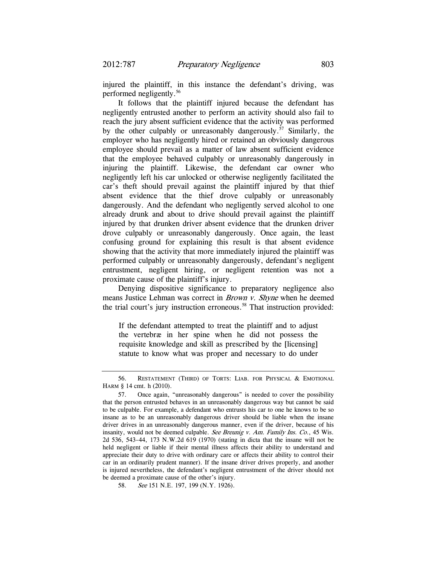injured the plaintiff, in this instance the defendant's driving, was performed negligently.56

It follows that the plaintiff injured because the defendant has negligently entrusted another to perform an activity should also fail to reach the jury absent sufficient evidence that the activity was performed by the other culpably or unreasonably dangerously.<sup>57</sup> Similarly, the employer who has negligently hired or retained an obviously dangerous employee should prevail as a matter of law absent sufficient evidence that the employee behaved culpably or unreasonably dangerously in injuring the plaintiff. Likewise, the defendant car owner who negligently left his car unlocked or otherwise negligently facilitated the car's theft should prevail against the plaintiff injured by that thief absent evidence that the thief drove culpably or unreasonably dangerously. And the defendant who negligently served alcohol to one already drunk and about to drive should prevail against the plaintiff injured by that drunken driver absent evidence that the drunken driver drove culpably or unreasonably dangerously. Once again, the least confusing ground for explaining this result is that absent evidence showing that the activity that more immediately injured the plaintiff was performed culpably or unreasonably dangerously, defendant's negligent entrustment, negligent hiring, or negligent retention was not a proximate cause of the plaintiff's injury.

Denying dispositive significance to preparatory negligence also means Justice Lehman was correct in Brown v. Shyne when he deemed the trial court's jury instruction erroneous.<sup>58</sup> That instruction provided:

If the defendant attempted to treat the plaintiff and to adjust the vertebræ in her spine when he did not possess the requisite knowledge and skill as prescribed by the [licensing] statute to know what was proper and necessary to do under

58. See 151 N.E. 197, 199 (N.Y. 1926).

 <sup>56.</sup> RESTATEMENT (THIRD) OF TORTS: LIAB. FOR PHYSICAL & EMOTIONAL HARM § 14 cmt. h (2010).

 <sup>57.</sup> Once again, "unreasonably dangerous" is needed to cover the possibility that the person entrusted behaves in an unreasonably dangerous way but cannot be said to be culpable. For example, a defendant who entrusts his car to one he knows to be so insane as to be an unreasonably dangerous driver should be liable when the insane driver drives in an unreasonably dangerous manner, even if the driver, because of his insanity, would not be deemed culpable. See Breunig v. Am. Family Ins. Co., 45 Wis. 2d 536, 543–44, 173 N.W.2d 619 (1970) (stating in dicta that the insane will not be held negligent or liable if their mental illness affects their ability to understand and appreciate their duty to drive with ordinary care or affects their ability to control their car in an ordinarily prudent manner). If the insane driver drives properly, and another is injured nevertheless, the defendant's negligent entrustment of the driver should not be deemed a proximate cause of the other's injury.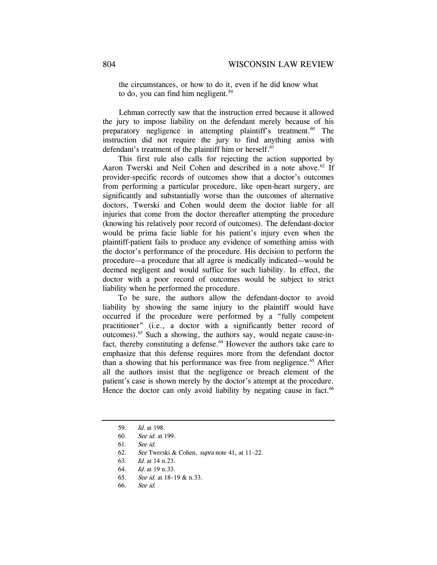the circumstances, or how to do it, even if he did know what to do, you can find him negligent.<sup>59</sup>

Lehman correctly saw that the instruction erred because it allowed the jury to impose liability on the defendant merely because of his preparatory negligence in attempting plaintiff's treatment.<sup>60</sup> The instruction did not require the jury to find anything amiss with defendant's treatment of the plaintiff him or herself.<sup>61</sup>

This first rule also calls for rejecting the action supported by Aaron Twerski and Neil Cohen and described in a note above.<sup>62</sup> If provider-specific records of outcomes show that a doctor's outcomes from performing a particular procedure, like open-heart surgery, are significantly and substantially worse than the outcomes of alternative doctors, Twerski and Cohen would deem the doctor liable for all injuries that come from the doctor thereafter attempting the procedure (knowing his relatively poor record of outcomes). The defendant-doctor would be prima facie liable for his patient's injury even when the plaintiff-patient fails to produce any evidence of something amiss with the doctor's performance of the procedure. His decision to perform the procedure—a procedure that all agree is medically indicated—would be deemed negligent and would suffice for such liability. In effect, the doctor with a poor record of outcomes would be subject to strict liability when he performed the procedure.

To be sure, the authors allow the defendant-doctor to avoid liability by showing the same injury to the plaintiff would have occurred if the procedure were performed by a "fully competent practitioner" (i.e., a doctor with a significantly better record of outcomes).63 Such a showing, the authors say, would negate cause-infact, thereby constituting a defense.<sup>64</sup> However the authors take care to emphasize that this defense requires more from the defendant doctor than a showing that his performance was free from negligence.<sup>65</sup> After all the authors insist that the negligence or breach element of the patient's case is shown merely by the doctor's attempt at the procedure. Hence the doctor can only avoid liability by negating cause in fact. $66$ 

<sup>59.</sup> Id. at 198.

<sup>60.</sup> See id. at 199.

<sup>61.</sup> See id.

 <sup>62.</sup> See Twerski & Cohen, supra note 41, at 11–22.

 <sup>63.</sup> Id. at 14 n.23.

 <sup>64.</sup> Id. at 19 n.33.

 <sup>65.</sup> See id. at 18–19 & n.33.

 <sup>66.</sup> See id.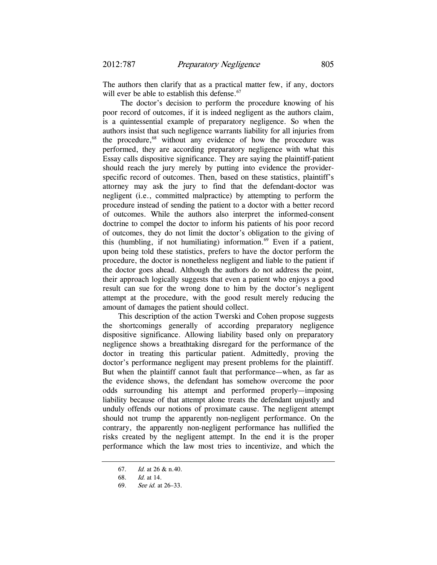The authors then clarify that as a practical matter few, if any, doctors will ever be able to establish this defense.<sup>67</sup>

 The doctor's decision to perform the procedure knowing of his poor record of outcomes, if it is indeed negligent as the authors claim, is a quintessential example of preparatory negligence. So when the authors insist that such negligence warrants liability for all injuries from the procedure, $68$  without any evidence of how the procedure was performed, they are according preparatory negligence with what this Essay calls dispositive significance. They are saying the plaintiff-patient should reach the jury merely by putting into evidence the providerspecific record of outcomes. Then, based on these statistics, plaintiff's attorney may ask the jury to find that the defendant-doctor was negligent (i.e., committed malpractice) by attempting to perform the procedure instead of sending the patient to a doctor with a better record of outcomes. While the authors also interpret the informed-consent doctrine to compel the doctor to inform his patients of his poor record of outcomes, they do not limit the doctor's obligation to the giving of this (humbling, if not humiliating) information. $69$  Even if a patient, upon being told these statistics, prefers to have the doctor perform the procedure, the doctor is nonetheless negligent and liable to the patient if the doctor goes ahead. Although the authors do not address the point, their approach logically suggests that even a patient who enjoys a good result can sue for the wrong done to him by the doctor's negligent attempt at the procedure, with the good result merely reducing the amount of damages the patient should collect.

This description of the action Twerski and Cohen propose suggests the shortcomings generally of according preparatory negligence dispositive significance. Allowing liability based only on preparatory negligence shows a breathtaking disregard for the performance of the doctor in treating this particular patient. Admittedly, proving the doctor's performance negligent may present problems for the plaintiff. But when the plaintiff cannot fault that performance—when, as far as the evidence shows, the defendant has somehow overcome the poor odds surrounding his attempt and performed properly—imposing liability because of that attempt alone treats the defendant unjustly and unduly offends our notions of proximate cause. The negligent attempt should not trump the apparently non-negligent performance. On the contrary, the apparently non-negligent performance has nullified the risks created by the negligent attempt. In the end it is the proper performance which the law most tries to incentivize, and which the

 <sup>67.</sup> Id. at 26 & n.40.

 <sup>68.</sup> Id. at 14.

 <sup>69.</sup> See id. at 26–33.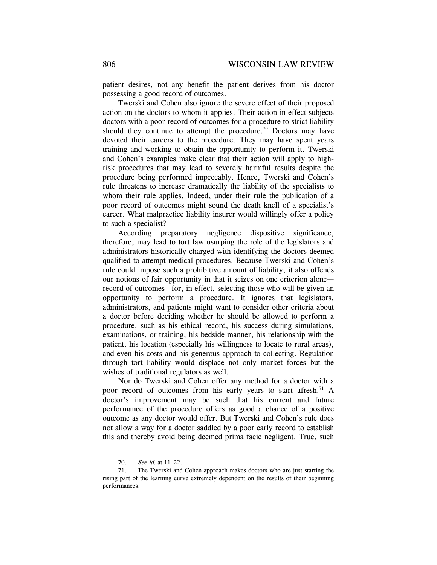patient desires, not any benefit the patient derives from his doctor possessing a good record of outcomes.

Twerski and Cohen also ignore the severe effect of their proposed action on the doctors to whom it applies. Their action in effect subjects doctors with a poor record of outcomes for a procedure to strict liability should they continue to attempt the procedure.<sup>70</sup> Doctors may have devoted their careers to the procedure. They may have spent years training and working to obtain the opportunity to perform it. Twerski and Cohen's examples make clear that their action will apply to highrisk procedures that may lead to severely harmful results despite the procedure being performed impeccably. Hence, Twerski and Cohen's rule threatens to increase dramatically the liability of the specialists to whom their rule applies. Indeed, under their rule the publication of a poor record of outcomes might sound the death knell of a specialist's career. What malpractice liability insurer would willingly offer a policy to such a specialist?

According preparatory negligence dispositive significance, therefore, may lead to tort law usurping the role of the legislators and administrators historically charged with identifying the doctors deemed qualified to attempt medical procedures. Because Twerski and Cohen's rule could impose such a prohibitive amount of liability, it also offends our notions of fair opportunity in that it seizes on one criterion alone record of outcomes—for, in effect, selecting those who will be given an opportunity to perform a procedure. It ignores that legislators, administrators, and patients might want to consider other criteria about a doctor before deciding whether he should be allowed to perform a procedure, such as his ethical record, his success during simulations, examinations, or training, his bedside manner, his relationship with the patient, his location (especially his willingness to locate to rural areas), and even his costs and his generous approach to collecting. Regulation through tort liability would displace not only market forces but the wishes of traditional regulators as well.

Nor do Twerski and Cohen offer any method for a doctor with a poor record of outcomes from his early years to start afresh.<sup>71</sup> A doctor's improvement may be such that his current and future performance of the procedure offers as good a chance of a positive outcome as any doctor would offer. But Twerski and Cohen's rule does not allow a way for a doctor saddled by a poor early record to establish this and thereby avoid being deemed prima facie negligent. True, such

<sup>70.</sup> See id. at 11-22.

 <sup>71.</sup> The Twerski and Cohen approach makes doctors who are just starting the rising part of the learning curve extremely dependent on the results of their beginning performances.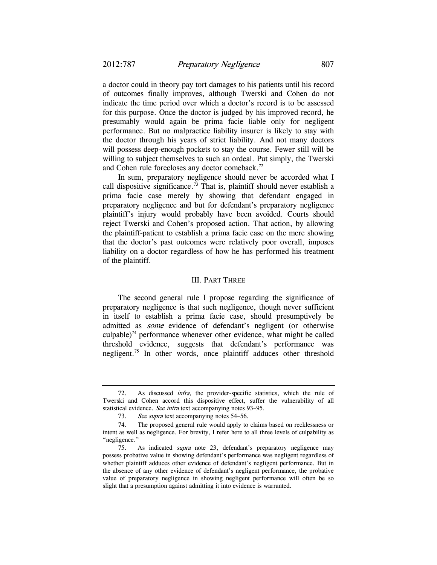a doctor could in theory pay tort damages to his patients until his record of outcomes finally improves, although Twerski and Cohen do not indicate the time period over which a doctor's record is to be assessed for this purpose. Once the doctor is judged by his improved record, he presumably would again be prima facie liable only for negligent performance. But no malpractice liability insurer is likely to stay with the doctor through his years of strict liability. And not many doctors will possess deep-enough pockets to stay the course. Fewer still will be willing to subject themselves to such an ordeal. Put simply, the Twerski and Cohen rule forecloses any doctor comeback.<sup>72</sup>

In sum, preparatory negligence should never be accorded what I call dispositive significance.<sup>73</sup> That is, plaintiff should never establish a prima facie case merely by showing that defendant engaged in preparatory negligence and but for defendant's preparatory negligence plaintiff's injury would probably have been avoided. Courts should reject Twerski and Cohen's proposed action. That action, by allowing the plaintiff-patient to establish a prima facie case on the mere showing that the doctor's past outcomes were relatively poor overall, imposes liability on a doctor regardless of how he has performed his treatment of the plaintiff.

# III. PART THREE

The second general rule I propose regarding the significance of preparatory negligence is that such negligence, though never sufficient in itself to establish a prima facie case, should presumptively be admitted as some evidence of defendant's negligent (or otherwise culpable)<sup>74</sup> performance whenever other evidence, what might be called threshold evidence, suggests that defendant's performance was negligent.75 In other words, once plaintiff adduces other threshold

 <sup>72.</sup> As discussed infra, the provider-specific statistics, which the rule of Twerski and Cohen accord this dispositive effect, suffer the vulnerability of all statistical evidence. See infra text accompanying notes 93-95.

<sup>73.</sup> See supra text accompanying notes 54–56.

 <sup>74.</sup> The proposed general rule would apply to claims based on recklessness or intent as well as negligence. For brevity, I refer here to all three levels of culpability as "negligence."

 <sup>75.</sup> As indicated supra note 23, defendant's preparatory negligence may possess probative value in showing defendant's performance was negligent regardless of whether plaintiff adduces other evidence of defendant's negligent performance. But in the absence of any other evidence of defendant's negligent performance, the probative value of preparatory negligence in showing negligent performance will often be so slight that a presumption against admitting it into evidence is warranted.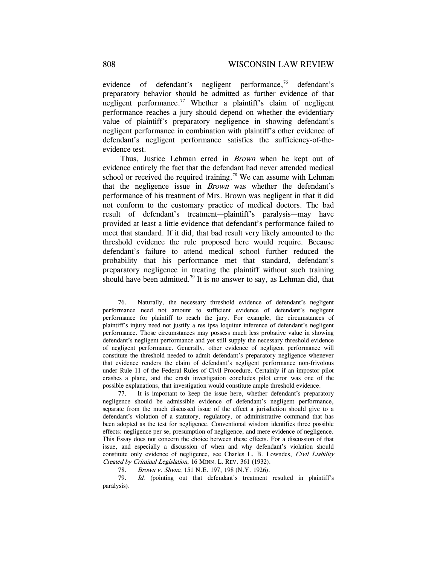evidence of defendant's negligent performance.<sup>76</sup> defendant's preparatory behavior should be admitted as further evidence of that negligent performance.<sup>77</sup> Whether a plaintiff's claim of negligent performance reaches a jury should depend on whether the evidentiary value of plaintiff's preparatory negligence in showing defendant's negligent performance in combination with plaintiff's other evidence of defendant's negligent performance satisfies the sufficiency-of-theevidence test.

Thus, Justice Lehman erred in *Brown* when he kept out of evidence entirely the fact that the defendant had never attended medical school or received the required training.<sup>78</sup> We can assume with Lehman that the negligence issue in Brown was whether the defendant's performance of his treatment of Mrs. Brown was negligent in that it did not conform to the customary practice of medical doctors. The bad result of defendant's treatment—plaintiff's paralysis—may have provided at least a little evidence that defendant's performance failed to meet that standard. If it did, that bad result very likely amounted to the threshold evidence the rule proposed here would require. Because defendant's failure to attend medical school further reduced the probability that his performance met that standard, defendant's preparatory negligence in treating the plaintiff without such training should have been admitted.<sup>79</sup> It is no answer to say, as Lehman did, that

 <sup>76.</sup> Naturally, the necessary threshold evidence of defendant's negligent performance need not amount to sufficient evidence of defendant's negligent performance for plaintiff to reach the jury. For example, the circumstances of plaintiff's injury need not justify a res ipsa loquitur inference of defendant's negligent performance. Those circumstances may possess much less probative value in showing defendant's negligent performance and yet still supply the necessary threshold evidence of negligent performance. Generally, other evidence of negligent performance will constitute the threshold needed to admit defendant's preparatory negligence whenever that evidence renders the claim of defendant's negligent performance non-frivolous under Rule 11 of the Federal Rules of Civil Procedure. Certainly if an impostor pilot crashes a plane, and the crash investigation concludes pilot error was one of the possible explanations, that investigation would constitute ample threshold evidence.

 <sup>77.</sup> It is important to keep the issue here, whether defendant's preparatory negligence should be admissible evidence of defendant's negligent performance, separate from the much discussed issue of the effect a jurisdiction should give to a defendant's violation of a statutory, regulatory, or administrative command that has been adopted as the test for negligence. Conventional wisdom identifies three possible effects: negligence per se, presumption of negligence, and mere evidence of negligence. This Essay does not concern the choice between these effects. For a discussion of that issue, and especially a discussion of when and why defendant's violation should constitute only evidence of negligence, see Charles L. B. Lowndes, Civil Liability Created by Criminal Legislation, 16 MINN. L. REV. 361 (1932).

<sup>78.</sup> Brown v. Shyne, 151 N.E. 197, 198 (N.Y. 1926).

<sup>79.</sup> Id. (pointing out that defendant's treatment resulted in plaintiff's paralysis).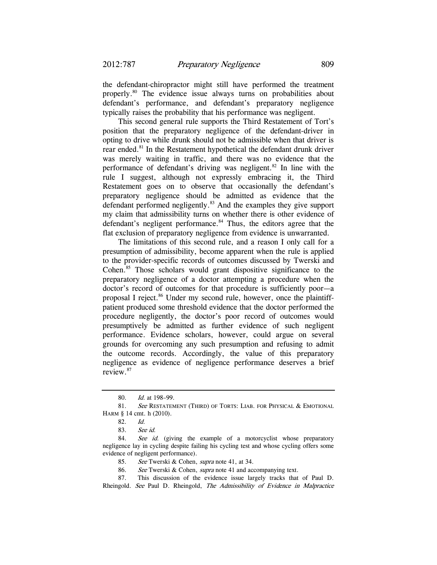the defendant-chiropractor might still have performed the treatment properly.80 The evidence issue always turns on probabilities about defendant's performance, and defendant's preparatory negligence typically raises the probability that his performance was negligent.

This second general rule supports the Third Restatement of Tort's position that the preparatory negligence of the defendant-driver in opting to drive while drunk should not be admissible when that driver is rear ended.<sup>81</sup> In the Restatement hypothetical the defendant drunk driver was merely waiting in traffic, and there was no evidence that the performance of defendant's driving was negligent. $82$  In line with the rule I suggest, although not expressly embracing it, the Third Restatement goes on to observe that occasionally the defendant's preparatory negligence should be admitted as evidence that the defendant performed negligently.<sup>83</sup> And the examples they give support my claim that admissibility turns on whether there is other evidence of defendant's negligent performance.<sup>84</sup> Thus, the editors agree that the flat exclusion of preparatory negligence from evidence is unwarranted.

The limitations of this second rule, and a reason I only call for a presumption of admissibility, become apparent when the rule is applied to the provider-specific records of outcomes discussed by Twerski and Cohen.85 Those scholars would grant dispositive significance to the preparatory negligence of a doctor attempting a procedure when the doctor's record of outcomes for that procedure is sufficiently poor—a proposal I reject.<sup>86</sup> Under my second rule, however, once the plaintiffpatient produced some threshold evidence that the doctor performed the procedure negligently, the doctor's poor record of outcomes would presumptively be admitted as further evidence of such negligent performance. Evidence scholars, however, could argue on several grounds for overcoming any such presumption and refusing to admit the outcome records. Accordingly, the value of this preparatory negligence as evidence of negligence performance deserves a brief review.87

<sup>80.</sup> Id. at 198–99.

<sup>81.</sup> See RESTATEMENT (THIRD) OF TORTS: LIAB. FOR PHYSICAL & EMOTIONAL HARM § 14 cmt. h (2010).

 <sup>82.</sup> Id.

 <sup>83.</sup> See id.

<sup>84.</sup> See id. (giving the example of a motorcyclist whose preparatory negligence lay in cycling despite failing his cycling test and whose cycling offers some evidence of negligent performance).

 <sup>85.</sup> See Twerski & Cohen, supra note 41, at 34.

<sup>86.</sup> See Twerski & Cohen, *supra* note 41 and accompanying text.

 <sup>87.</sup> This discussion of the evidence issue largely tracks that of Paul D. Rheingold. See Paul D. Rheingold, The Admissibility of Evidence in Malpractice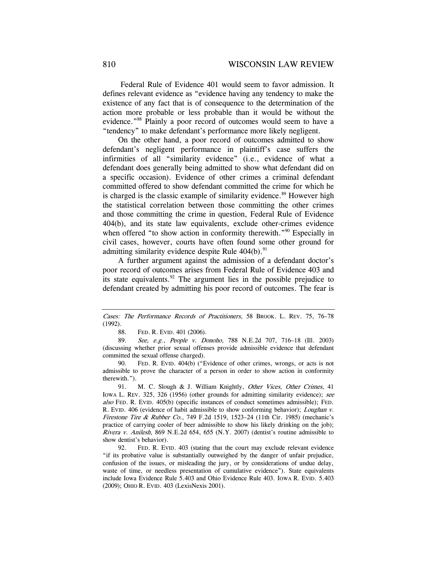Federal Rule of Evidence 401 would seem to favor admission. It defines relevant evidence as "evidence having any tendency to make the existence of any fact that is of consequence to the determination of the action more probable or less probable than it would be without the evidence."88 Plainly a poor record of outcomes would seem to have a "tendency" to make defendant's performance more likely negligent.

On the other hand, a poor record of outcomes admitted to show defendant's negligent performance in plaintiff's case suffers the infirmities of all "similarity evidence" (i.e., evidence of what a defendant does generally being admitted to show what defendant did on a specific occasion). Evidence of other crimes a criminal defendant committed offered to show defendant committed the crime for which he is charged is the classic example of similarity evidence.<sup>89</sup> However high the statistical correlation between those committing the other crimes and those committing the crime in question, Federal Rule of Evidence 404(b), and its state law equivalents, exclude other-crimes evidence when offered "to show action in conformity therewith."<sup>90</sup> Especially in civil cases, however, courts have often found some other ground for admitting similarity evidence despite Rule  $404(b)$ .<sup>91</sup>

A further argument against the admission of a defendant doctor's poor record of outcomes arises from Federal Rule of Evidence 403 and its state equivalents. $92$  The argument lies in the possible prejudice to defendant created by admitting his poor record of outcomes. The fear is

Cases: The Performance Records of Practitioners, 58 BROOK. L. REV. 75, 76–78 (1992).

 <sup>88.</sup> FED. R. EVID. 401 (2006).

<sup>89.</sup> See, e.g., People v. Donoho, 788 N.E.2d 707, 716–18 (Ill. 2003) (discussing whether prior sexual offenses provide admissible evidence that defendant committed the sexual offense charged).

 <sup>90.</sup> FED. R. EVID. 404(b) ("Evidence of other crimes, wrongs, or acts is not admissible to prove the character of a person in order to show action in conformity therewith.").

<sup>91.</sup> M. C. Slough & J. William Knightly, Other Vices, Other Crimes, 41 Iowa L. Rev. 325, 326 (1956) (other grounds for admitting similarity evidence); see also FED. R. EVID. 405(b) (specific instances of conduct sometimes admissible); FED. R. EVID. 406 (evidence of habit admissible to show conforming behavior); *Loughan v*. Firestone Tire & Rubber Co., 749 F.2d 1519, 1523–24 (11th Cir. 1985) (mechanic's practice of carrying cooler of beer admissible to show his likely drinking on the job); *Rivera v. Anilesh*, 869 N.E.2d 654, 655 (N.Y. 2007) (dentist's routine admissible to show dentist's behavior).

 <sup>92.</sup> FED. R. EVID. 403 (stating that the court may exclude relevant evidence "if its probative value is substantially outweighed by the danger of unfair prejudice, confusion of the issues, or misleading the jury, or by considerations of undue delay, waste of time, or needless presentation of cumulative evidence"). State equivalents include Iowa Evidence Rule 5.403 and Ohio Evidence Rule 403. IOWA R. EVID. 5.403 (2009); OHIO R. EVID. 403 (LexisNexis 2001).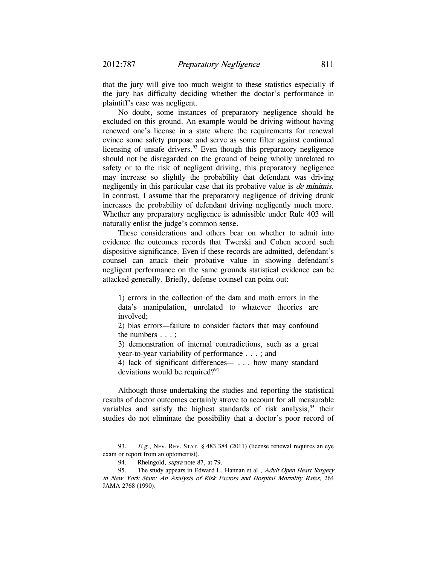that the jury will give too much weight to these statistics especially if the jury has difficulty deciding whether the doctor's performance in plaintiff's case was negligent.

No doubt, some instances of preparatory negligence should be excluded on this ground. An example would be driving without having renewed one's license in a state where the requirements for renewal evince some safety purpose and serve as some filter against continued licensing of unsafe drivers.<sup>93</sup> Even though this preparatory negligence should not be disregarded on the ground of being wholly unrelated to safety or to the risk of negligent driving, this preparatory negligence may increase so slightly the probability that defendant was driving negligently in this particular case that its probative value is *de minimis*. In contrast, I assume that the preparatory negligence of driving drunk increases the probability of defendant driving negligently much more. Whether any preparatory negligence is admissible under Rule 403 will naturally enlist the judge's common sense.

These considerations and others bear on whether to admit into evidence the outcomes records that Twerski and Cohen accord such dispositive significance. Even if these records are admitted, defendant's counsel can attack their probative value in showing defendant's negligent performance on the same grounds statistical evidence can be attacked generally. Briefly, defense counsel can point out:

1) errors in the collection of the data and math errors in the data's manipulation, unrelated to whatever theories are involved;

2) bias errors—failure to consider factors that may confound the numbers . . . :

3) demonstration of internal contradictions, such as a great year-to-year variability of performance . . . ; and

4) lack of significant differences— . . . how many standard deviations would be required? $94$ 

Although those undertaking the studies and reporting the statistical results of doctor outcomes certainly strove to account for all measurable variables and satisfy the highest standards of risk analysis,  $95$  their studies do not eliminate the possibility that a doctor's poor record of

 <sup>93.</sup> E.g., NEV. REV. STAT. § 483.384 (2011) (license renewal requires an eye exam or report from an optometrist).

<sup>94.</sup> Rheingold, *supra* note 87, at 79.

<sup>95.</sup> The study appears in Edward L. Hannan et al., Adult Open Heart Surgery in New York State: An Analysis of Risk Factors and Hospital Mortality Rates, 264 JAMA 2768 (1990).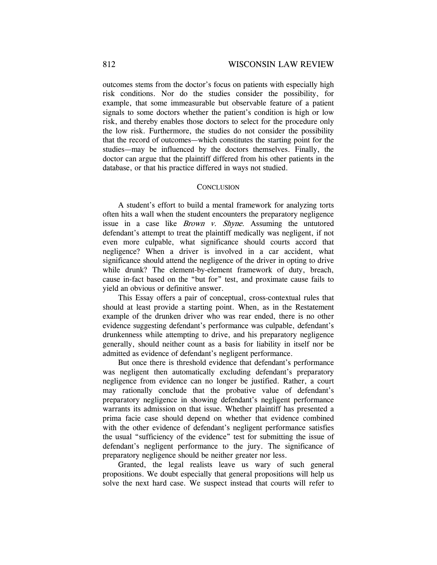outcomes stems from the doctor's focus on patients with especially high risk conditions. Nor do the studies consider the possibility, for example, that some immeasurable but observable feature of a patient signals to some doctors whether the patient's condition is high or low risk, and thereby enables those doctors to select for the procedure only the low risk. Furthermore, the studies do not consider the possibility that the record of outcomes—which constitutes the starting point for the studies—may be influenced by the doctors themselves. Finally, the doctor can argue that the plaintiff differed from his other patients in the database, or that his practice differed in ways not studied.

## **CONCLUSION**

A student's effort to build a mental framework for analyzing torts often hits a wall when the student encounters the preparatory negligence issue in a case like Brown v. Shyne. Assuming the untutored defendant's attempt to treat the plaintiff medically was negligent, if not even more culpable, what significance should courts accord that negligence? When a driver is involved in a car accident, what significance should attend the negligence of the driver in opting to drive while drunk? The element-by-element framework of duty, breach, cause in-fact based on the "but for" test, and proximate cause fails to yield an obvious or definitive answer.

This Essay offers a pair of conceptual, cross-contextual rules that should at least provide a starting point. When, as in the Restatement example of the drunken driver who was rear ended, there is no other evidence suggesting defendant's performance was culpable, defendant's drunkenness while attempting to drive, and his preparatory negligence generally, should neither count as a basis for liability in itself nor be admitted as evidence of defendant's negligent performance.

But once there is threshold evidence that defendant's performance was negligent then automatically excluding defendant's preparatory negligence from evidence can no longer be justified. Rather, a court may rationally conclude that the probative value of defendant's preparatory negligence in showing defendant's negligent performance warrants its admission on that issue. Whether plaintiff has presented a prima facie case should depend on whether that evidence combined with the other evidence of defendant's negligent performance satisfies the usual "sufficiency of the evidence" test for submitting the issue of defendant's negligent performance to the jury. The significance of preparatory negligence should be neither greater nor less.

Granted, the legal realists leave us wary of such general propositions. We doubt especially that general propositions will help us solve the next hard case. We suspect instead that courts will refer to